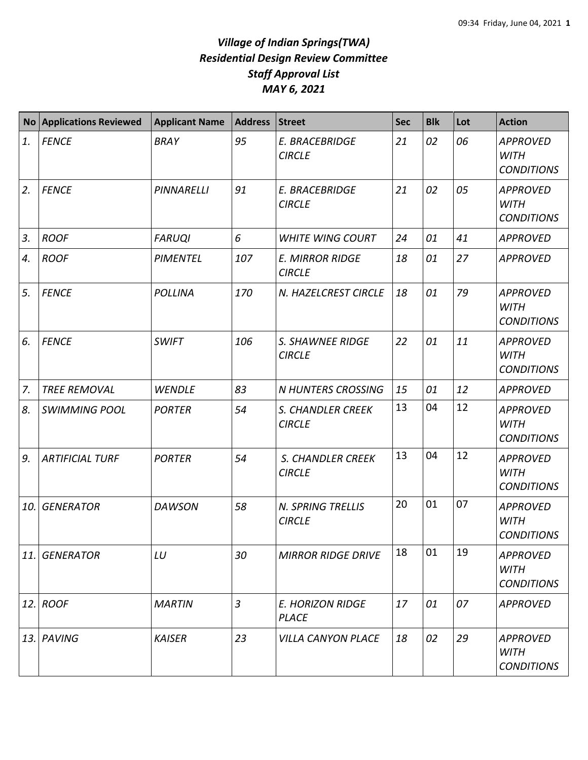## *Village of Indian Springs(TWA) Residential Design Review Committee Staff Approval List MAY 6, 2021*

| <b>No</b> | <b>Applications Reviewed</b> | <b>Applicant Name</b> | Address        | <b>Street</b>                             | <b>Sec</b> | <b>Blk</b> | Lot | <b>Action</b>                                       |
|-----------|------------------------------|-----------------------|----------------|-------------------------------------------|------------|------------|-----|-----------------------------------------------------|
| 1.        | <b>FENCE</b>                 | <b>BRAY</b>           | 95             | E. BRACEBRIDGE<br><b>CIRCLE</b>           | 21         | 02         | 06  | <b>APPROVED</b><br><b>WITH</b><br><b>CONDITIONS</b> |
| 2.        | <b>FENCE</b>                 | PINNARELLI            | 91             | E. BRACEBRIDGE<br><b>CIRCLE</b>           | 21         | 02         | 05  | <b>APPROVED</b><br><b>WITH</b><br><b>CONDITIONS</b> |
| 3.        | <b>ROOF</b>                  | <b>FARUQI</b>         | 6              | <b>WHITE WING COURT</b>                   | 24         | 01         | 41  | <b>APPROVED</b>                                     |
| 4.        | <b>ROOF</b>                  | <b>PIMENTEL</b>       | 107            | <b>E. MIRROR RIDGE</b><br><b>CIRCLE</b>   | 18         | 01         | 27  | <b>APPROVED</b>                                     |
| 5.        | <b>FENCE</b>                 | <b>POLLINA</b>        | 170            | N. HAZELCREST CIRCLE                      | 18         | 01         | 79  | <b>APPROVED</b><br><b>WITH</b><br><b>CONDITIONS</b> |
| 6.        | <b>FENCE</b>                 | <b>SWIFT</b>          | 106            | S. SHAWNEE RIDGE<br><b>CIRCLE</b>         | 22         | 01         | 11  | <b>APPROVED</b><br><b>WITH</b><br><b>CONDITIONS</b> |
| 7.        | <b>TREE REMOVAL</b>          | <b>WENDLE</b>         | 83             | <b>N HUNTERS CROSSING</b>                 | 15         | 01         | 12  | <b>APPROVED</b>                                     |
| 8.        | <b>SWIMMING POOL</b>         | <b>PORTER</b>         | 54             | S. CHANDLER CREEK<br><b>CIRCLE</b>        | 13         | 04         | 12  | <b>APPROVED</b><br><b>WITH</b><br><b>CONDITIONS</b> |
| 9.        | <b>ARTIFICIAL TURF</b>       | <b>PORTER</b>         | 54             | S. CHANDLER CREEK<br><b>CIRCLE</b>        | 13         | 04         | 12  | <b>APPROVED</b><br><b>WITH</b><br><b>CONDITIONS</b> |
| 10.       | <b>GENERATOR</b>             | <b>DAWSON</b>         | 58             | <b>N. SPRING TRELLIS</b><br><b>CIRCLE</b> | 20         | 01         | 07  | <b>APPROVED</b><br><b>WITH</b><br><b>CONDITIONS</b> |
| 11.       | <b>GENERATOR</b>             | LU                    | 30             | <b>MIRROR RIDGE DRIVE</b>                 | 18         | 01         | 19  | <b>APPROVED</b><br><b>WITH</b><br><b>CONDITIONS</b> |
| 12.       | <b>ROOF</b>                  | <b>MARTIN</b>         | $\overline{3}$ | <b>E. HORIZON RIDGE</b><br><b>PLACE</b>   | 17         | 01         | 07  | <b>APPROVED</b>                                     |
| 13.       | PAVING                       | <b>KAISER</b>         | 23             | <b>VILLA CANYON PLACE</b>                 | 18         | 02         | 29  | <b>APPROVED</b><br><b>WITH</b><br><b>CONDITIONS</b> |